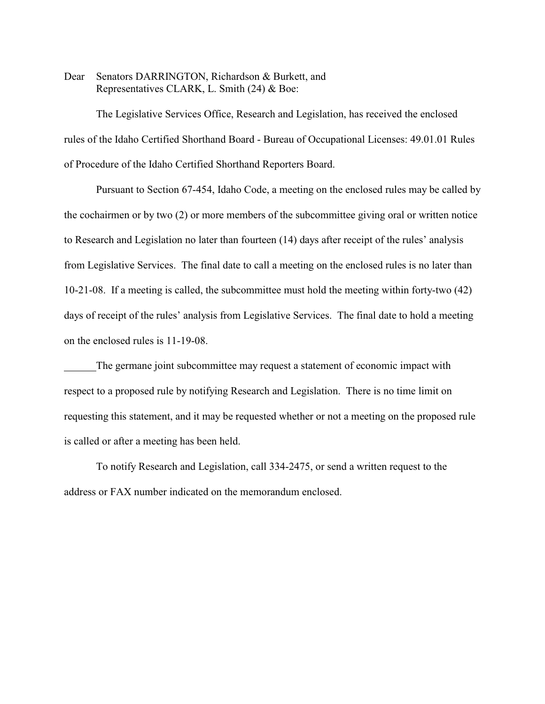Dear Senators DARRINGTON, Richardson & Burkett, and Representatives CLARK, L. Smith (24) & Boe:

The Legislative Services Office, Research and Legislation, has received the enclosed rules of the Idaho Certified Shorthand Board - Bureau of Occupational Licenses: 49.01.01 Rules of Procedure of the Idaho Certified Shorthand Reporters Board.

Pursuant to Section 67-454, Idaho Code, a meeting on the enclosed rules may be called by the cochairmen or by two (2) or more members of the subcommittee giving oral or written notice to Research and Legislation no later than fourteen (14) days after receipt of the rules' analysis from Legislative Services. The final date to call a meeting on the enclosed rules is no later than 10-21-08. If a meeting is called, the subcommittee must hold the meeting within forty-two (42) days of receipt of the rules' analysis from Legislative Services. The final date to hold a meeting on the enclosed rules is 11-19-08.

The germane joint subcommittee may request a statement of economic impact with respect to a proposed rule by notifying Research and Legislation. There is no time limit on requesting this statement, and it may be requested whether or not a meeting on the proposed rule is called or after a meeting has been held.

To notify Research and Legislation, call 334-2475, or send a written request to the address or FAX number indicated on the memorandum enclosed.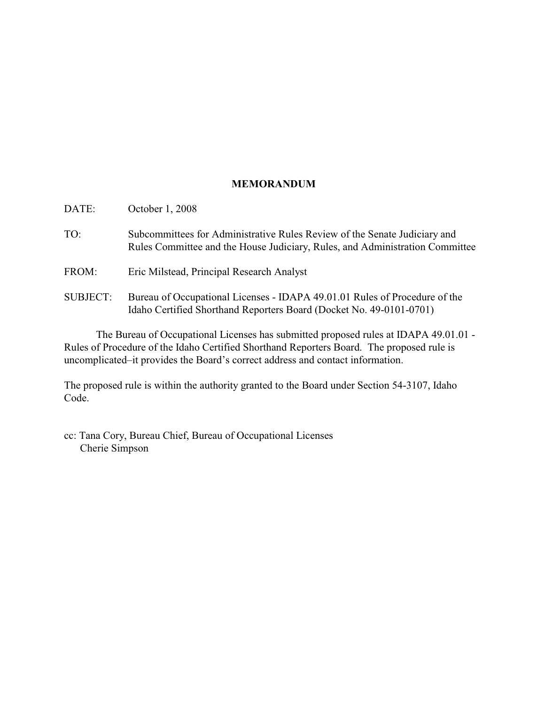# **MEMORANDUM**

| TO:             | Subcommittees for Administrative Rules Review of the Senate Judiciary and<br>Rules Committee and the House Judiciary, Rules, and Administration Committee |
|-----------------|-----------------------------------------------------------------------------------------------------------------------------------------------------------|
| FROM:           | Eric Milstead, Principal Research Analyst                                                                                                                 |
| <b>SUBJECT:</b> | Bureau of Occupational Licenses - IDAPA 49.01.01 Rules of Procedure of the<br>Idaho Certified Shorthand Reporters Board (Docket No. 49-0101-0701)         |

The Bureau of Occupational Licenses has submitted proposed rules at IDAPA 49.01.01 - Rules of Procedure of the Idaho Certified Shorthand Reporters Board. The proposed rule is uncomplicated–it provides the Board's correct address and contact information.

The proposed rule is within the authority granted to the Board under Section 54-3107, Idaho Code.

cc: Tana Cory, Bureau Chief, Bureau of Occupational Licenses Cherie Simpson

DATE: October 1, 2008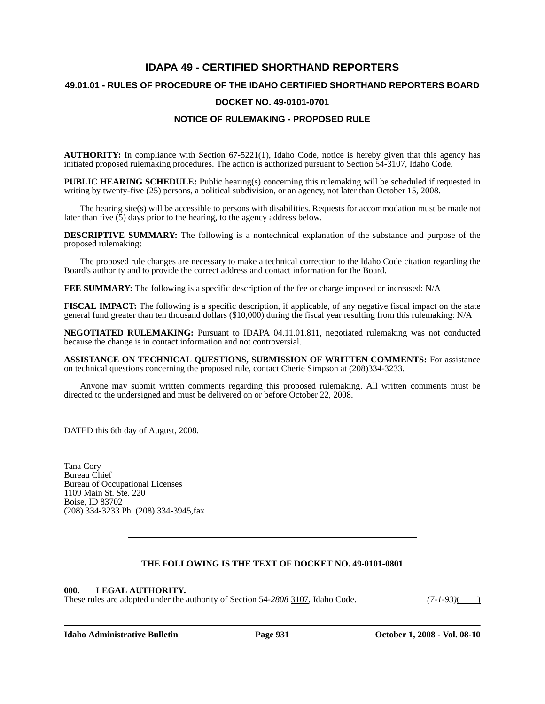# **IDAPA 49 - CERTIFIED SHORTHAND REPORTERS 49.01.01 - RULES OF PROCEDURE OF THE IDAHO CERTIFIED SHORTHAND REPORTERS BOARD DOCKET NO. 49-0101-0701 NOTICE OF RULEMAKING - PROPOSED RULE**

**AUTHORITY:** In compliance with Section 67-5221(1), Idaho Code, notice is hereby given that this agency has initiated proposed rulemaking procedures. The action is authorized pursuant to Section 54-3107, Idaho Code.

**PUBLIC HEARING SCHEDULE:** Public hearing(s) concerning this rulemaking will be scheduled if requested in writing by twenty-five (25) persons, a political subdivision, or an agency, not later than October 15, 2008.

The hearing site(s) will be accessible to persons with disabilities. Requests for accommodation must be made not later than five  $(5)$  days prior to the hearing, to the agency address below.

**DESCRIPTIVE SUMMARY:** The following is a nontechnical explanation of the substance and purpose of the proposed rulemaking:

The proposed rule changes are necessary to make a technical correction to the Idaho Code citation regarding the Board's authority and to provide the correct address and contact information for the Board.

**FEE SUMMARY:** The following is a specific description of the fee or charge imposed or increased: N/A

**FISCAL IMPACT:** The following is a specific description, if applicable, of any negative fiscal impact on the state general fund greater than ten thousand dollars (\$10,000) during the fiscal year resulting from this rulemaking: N/A

**NEGOTIATED RULEMAKING:** Pursuant to IDAPA 04.11.01.811, negotiated rulemaking was not conducted because the change is in contact information and not controversial.

**ASSISTANCE ON TECHNICAL QUESTIONS, SUBMISSION OF WRITTEN COMMENTS:** For assistance on technical questions concerning the proposed rule, contact Cherie Simpson at (208)334-3233.

Anyone may submit written comments regarding this proposed rulemaking. All written comments must be directed to the undersigned and must be delivered on or before October 22, 2008.

DATED this 6th day of August, 2008.

Tana Cory Bureau Chief Bureau of Occupational Licenses 1109 Main St. Ste. 220 Boise, ID 83702 (208) 334-3233 Ph. (208) 334-3945,fax

## **THE FOLLOWING IS THE TEXT OF DOCKET NO. 49-0101-0801**

#### **000. LEGAL AUTHORITY.**

These rules are adopted under the authority of Section 54-2808 3107, Idaho Code.  $(7-1-93)()$ 

**Idaho Administrative Bulletin Page 931 October 1, 2008 - Vol. 08-10**